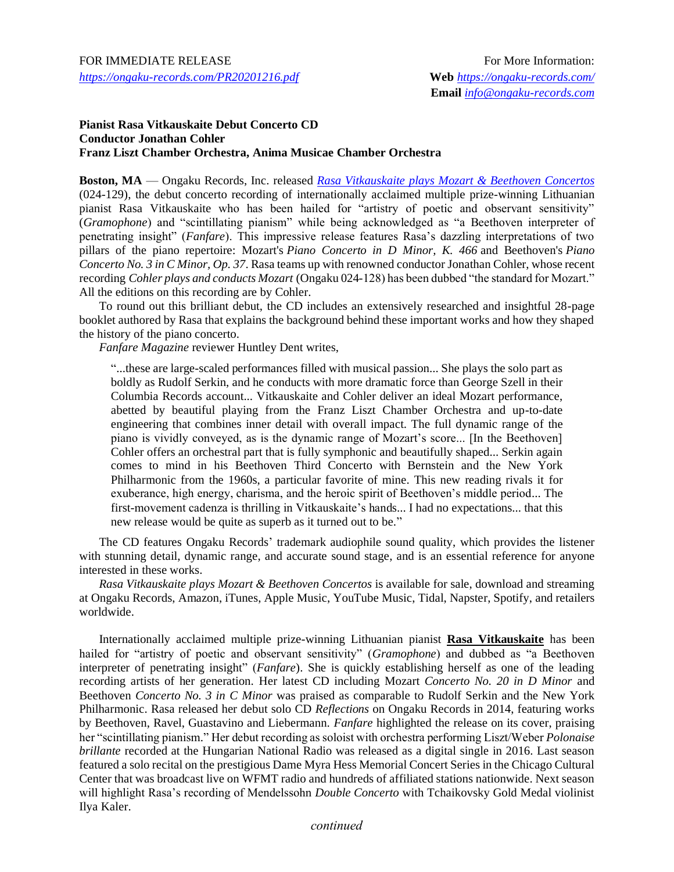## **Pianist Rasa Vitkauskaite Debut Concerto CD Conductor Jonathan Cohler Franz Liszt Chamber Orchestra, Anima Musicae Chamber Orchestra**

**Boston, MA** — Ongaku Records, Inc. released *Rasa Vitkauskaite [plays Mozart & Beethoven Concertos](http://bit.ly/OngRasa)* (024-129), the debut concerto recording of internationally acclaimed multiple prize-winning Lithuanian pianist Rasa Vitkauskaite who has been hailed for "artistry of poetic and observant sensitivity" (*Gramophone*) and "scintillating pianism" while being acknowledged as "a Beethoven interpreter of penetrating insight" (*Fanfare*). This impressive release features Rasa's dazzling interpretations of two pillars of the piano repertoire: Mozart's *Piano Concerto in D Minor, K. 466* and Beethoven's *Piano Concerto No. 3 in C Minor, Op. 37*. Rasa teams up with renowned conductor Jonathan Cohler, whose recent recording *Cohler plays and conducts Mozart* (Ongaku 024-128) has been dubbed "the standard for Mozart." All the editions on this recording are by Cohler.

To round out this brilliant debut, the CD includes an extensively researched and insightful 28-page booklet authored by Rasa that explains the background behind these important works and how they shaped the history of the piano concerto.

*Fanfare Magazine* reviewer Huntley Dent writes,

"...these are large-scaled performances filled with musical passion... She plays the solo part as boldly as Rudolf Serkin, and he conducts with more dramatic force than George Szell in their Columbia Records account... Vitkauskaite and Cohler deliver an ideal Mozart performance, abetted by beautiful playing from the Franz Liszt Chamber Orchestra and up-to-date engineering that combines inner detail with overall impact. The full dynamic range of the piano is vividly conveyed, as is the dynamic range of Mozart's score... [In the Beethoven] Cohler offers an orchestral part that is fully symphonic and beautifully shaped... Serkin again comes to mind in his Beethoven Third Concerto with Bernstein and the New York Philharmonic from the 1960s, a particular favorite of mine. This new reading rivals it for exuberance, high energy, charisma, and the heroic spirit of Beethoven's middle period... The first-movement cadenza is thrilling in Vitkauskaite's hands... I had no expectations... that this new release would be quite as superb as it turned out to be."

The CD features Ongaku Records' trademark audiophile sound quality, which provides the listener with stunning detail, dynamic range, and accurate sound stage, and is an essential reference for anyone interested in these works.

*Rasa Vitkauskaite plays Mozart & Beethoven Concertos* is available for sale, download and streaming at Ongaku Records, Amazon, iTunes, Apple Music, YouTube Music, Tidal, Napster, Spotify, and retailers worldwide.

Internationally acclaimed multiple prize-winning Lithuanian pianist **Rasa Vitkauskaite** has been hailed for "artistry of poetic and observant sensitivity" (*Gramophone*) and dubbed as "a Beethoven interpreter of penetrating insight" (*Fanfare*). She is quickly establishing herself as one of the leading recording artists of her generation. Her latest CD including Mozart *Concerto No. 20 in D Minor* and Beethoven *Concerto No. 3 in C Minor* was praised as comparable to Rudolf Serkin and the New York Philharmonic. Rasa released her debut solo CD *Reflections* on Ongaku Records in 2014, featuring works by Beethoven, Ravel, Guastavino and Liebermann. *Fanfare* highlighted the release on its cover, praising her "scintillating pianism." Her debut recording as soloist with orchestra performing Liszt/Weber *Polonaise brillante* recorded at the Hungarian National Radio was released as a digital single in 2016. Last season featured a solo recital on the prestigious Dame Myra Hess Memorial Concert Series in the Chicago Cultural Center that was broadcast live on WFMT radio and hundreds of affiliated stations nationwide. Next season will highlight Rasa's recording of Mendelssohn *Double Concerto* with Tchaikovsky Gold Medal violinist Ilya Kaler.